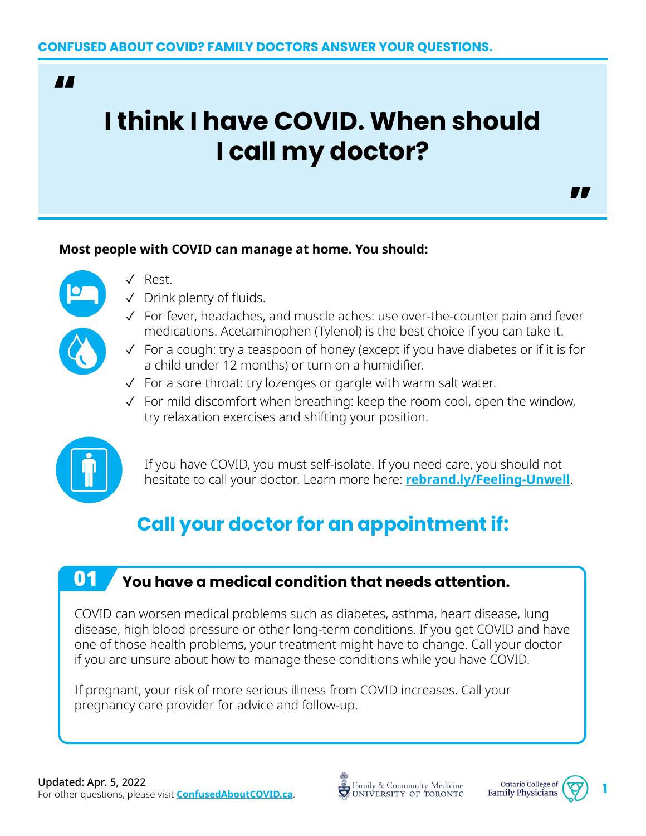### **AA**

# **I think I have COVID. When should I call my doctor?**

#### **Most people with COVID can manage at home. You should:**



- ✓ Rest.
- ✓ Drink plenty of fluids.
- ✓ For fever, headaches, and muscle aches: use over-the-counter pain and fever medications. Acetaminophen (Tylenol) is the best choice if you can take it.
- ✓ For a cough: try a teaspoon of honey (except if you have diabetes or if it is for a child under 12 months) or turn on a humidifier.
- ✓ For a sore throat: try lozenges or gargle with warm salt water.
- ✓ For mild discomfort when breathing: keep the room cool, open the window, try relaxation exercises and shifting your position.



If you have COVID, you must self-isolate. If you need care, you should not hesitate to call your doctor. Learn more here: **[rebrand.ly/Feeling-Unwell](http://rebrand.ly/Feeling-Unwell)**.

## **Call your doctor for an appointment if:**

## 01 **You have a medical condition that needs attention.**

COVID can worsen medical problems such as diabetes, asthma, heart disease, lung disease, high blood pressure or other long-term conditions. If you get COVID and have one of those health problems, your treatment might have to change. Call your doctor if you are unsure about how to manage these conditions while you have COVID.

If pregnant, your risk of more serious illness from COVID increases. Call your pregnancy care provider for advice and follow-up.

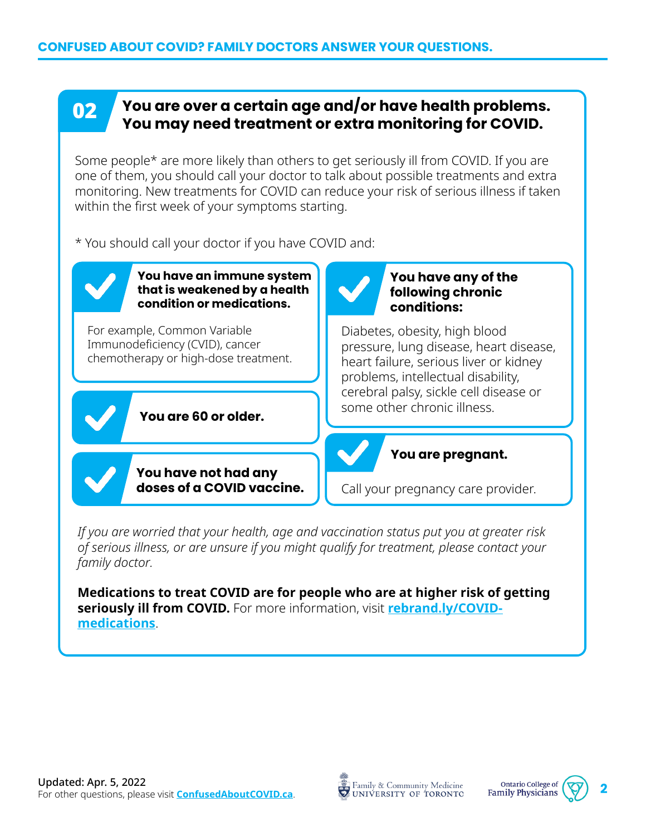### **02** You are over a certain age and/or have health problems. **You may need treatment or extra monitoring for COVID.**

Some people\* are more likely than others to get seriously ill from COVID. If you are one of them, you should call your doctor to talk about possible treatments and extra monitoring. New treatments for COVID can reduce your risk of serious illness if taken within the first week of your symptoms starting.

\* You should call your doctor if you have COVID and:

**You have an immune system that is weakened by a health condition or medications.** 

For example, Common Variable Immunodeficiency (CVID), cancer chemotherapy or high-dose treatment.

**You are 60 or older.**

**You have not had any doses of a COVID vaccine.**



#### **You have any of the following chronic conditions:**

Diabetes, obesity, high blood pressure, lung disease, heart disease, heart failure, serious liver or kidney problems, intellectual disability, cerebral palsy, sickle cell disease or some other chronic illness.

### **You are pregnant.**

Call your pregnancy care provider.

*If you are worried that your health, age and vaccination status put you at greater risk of serious illness, or are unsure if you might qualify for treatment, please contact your family doctor.*

**Medications to treat COVID are for people who are at higher risk of getting seriously ill from COVID.** For more information, visit **[rebrand.ly/COVID](http://rebrand.ly/COVID-medications)[medications](http://rebrand.ly/COVID-medications)**.



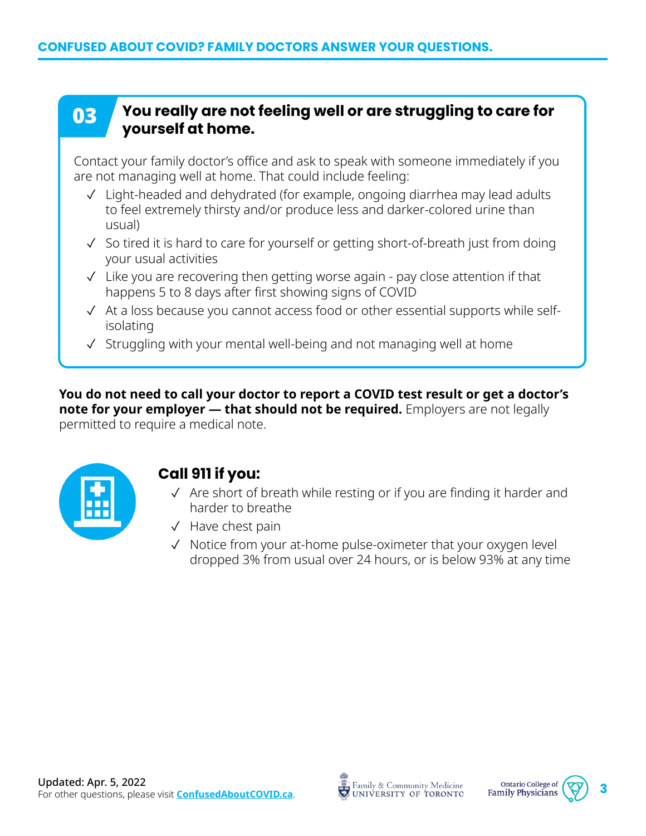### **03** You really are not feeling well or are struggling to care for **yourself at home.**

Contact your family doctor's office and ask to speak with someone immediately if you are not managing well at home. That could include feeling:

- ✓ Light-headed and dehydrated (for example, ongoing diarrhea may lead adults to feel extremely thirsty and/or produce less and darker-colored urine than usual)
- ✓ So tired it is hard to care for yourself or getting short-of-breath just from doing your usual activities
- ✓ Like you are recovering then getting worse again pay close attention if that happens 5 to 8 days after first showing signs of COVID
- ✓ At a loss because you cannot access food or other essential supports while selfisolating
- ✓ Struggling with your mental well-being and not managing well at home

**You do not need to call your doctor to report a COVID test result or get a doctor's note for your employer — that should not be required.** Employers are not legally permitted to require a medical note.



### **Call 911 if you:**

- ✓ Are short of breath while resting or if you are finding it harder and harder to breathe
- ✓ Have chest pain
- ✓ Notice from your at-home pulse-oximeter that your oxygen level dropped 3% from usual over 24 hours, or is below 93% at any time